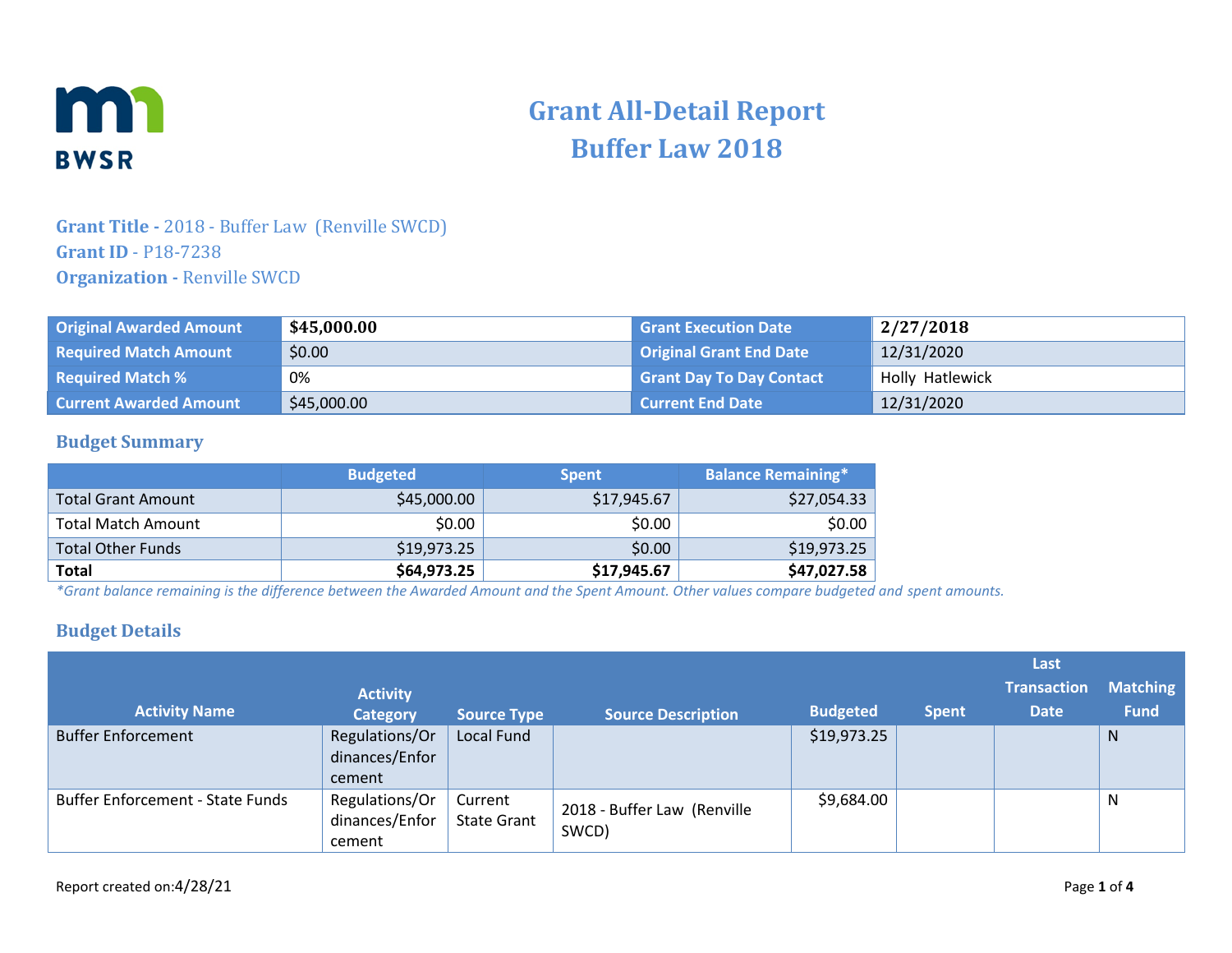

# **Grant All-Detail Report Buffer Law 2018**

### **Grant Title -** 2018 - Buffer Law (Renville SWCD) **Grant ID** - P18-7238 **Organization -** Renville SWCD

| <b>Original Awarded Amount</b> | \$45,000.00 | <b>Grant Execution Date</b>     | 2/27/2018       |
|--------------------------------|-------------|---------------------------------|-----------------|
| <b>Required Match Amount</b>   | \$0.00      | <b>Original Grant End Date</b>  | 12/31/2020      |
| <b>Required Match %</b>        | 0%          | <b>Grant Day To Day Contact</b> | Holly Hatlewick |
| <b>Current Awarded Amount</b>  | \$45,000.00 | <b>Current End Date</b>         | 12/31/2020      |

#### **Budget Summary**

|                           | <b>Budgeted</b> | <b>Spent</b> | <b>Balance Remaining*</b> |
|---------------------------|-----------------|--------------|---------------------------|
| Total Grant Amount        | \$45,000.00     | \$17,945.67  | \$27,054.33               |
| <b>Total Match Amount</b> | \$0.00          | \$0.00       | \$0.00                    |
| <b>Total Other Funds</b>  | \$19,973.25     | \$0.00       | \$19,973.25               |
| <b>Total</b>              | \$64,973.25     | \$17,945.67  | \$47,027.58               |

*\*Grant balance remaining is the difference between the Awarded Amount and the Spent Amount. Other values compare budgeted and spent amounts.*

#### **Budget Details**

|                                         |                                            |                               |                                      |                 |              | Last               |                 |
|-----------------------------------------|--------------------------------------------|-------------------------------|--------------------------------------|-----------------|--------------|--------------------|-----------------|
|                                         | <b>Activity</b>                            |                               |                                      |                 |              | <b>Transaction</b> | <b>Matching</b> |
| <b>Activity Name</b>                    | <b>Category</b>                            | <b>Source Type</b>            | <b>Source Description</b>            | <b>Budgeted</b> | <b>Spent</b> | <b>Date</b>        | <b>Fund</b>     |
| <b>Buffer Enforcement</b>               | Regulations/Or<br>dinances/Enfor<br>cement | Local Fund                    |                                      | \$19,973.25     |              |                    | N.              |
| <b>Buffer Enforcement - State Funds</b> | Regulations/Or<br>dinances/Enfor<br>cement | Current<br><b>State Grant</b> | 2018 - Buffer Law (Renville<br>SWCD) | \$9,684.00      |              |                    | N               |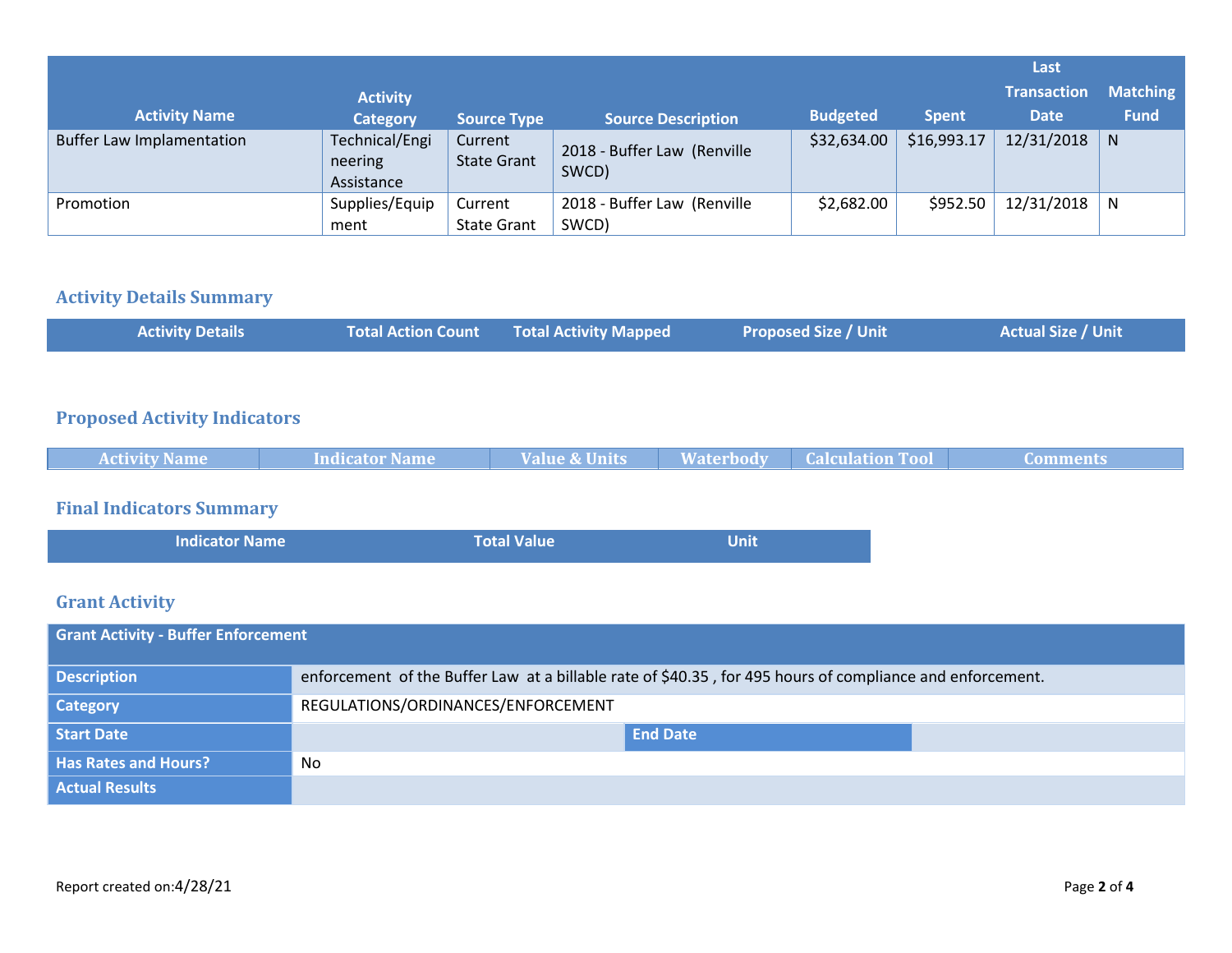|                                  |                                         |                               |                                      |                 |              | Last               |                 |
|----------------------------------|-----------------------------------------|-------------------------------|--------------------------------------|-----------------|--------------|--------------------|-----------------|
|                                  | <b>Activity</b>                         |                               |                                      |                 |              | <b>Transaction</b> | <b>Matching</b> |
| <b>Activity Name</b>             | <b>Category</b>                         | <b>Source Type</b>            | <b>Source Description</b>            | <b>Budgeted</b> | <b>Spent</b> | <b>Date</b>        | <b>Fund</b>     |
| <b>Buffer Law Implamentation</b> | Technical/Engi<br>neering<br>Assistance | Current<br><b>State Grant</b> | 2018 - Buffer Law (Renville<br>SWCD) | \$32,634.00     | \$16,993.17  | 12/31/2018         | $\mathsf{N}$    |
| Promotion                        | Supplies/Equip                          | Current                       | 2018 - Buffer Law (Renville          | \$2,682.00      | \$952.50     | 12/31/2018         | N               |
|                                  | ment                                    | <b>State Grant</b>            | SWCD)                                |                 |              |                    |                 |

# **Activity Details Summary**

| <b>Actual Size / Unit \</b><br><b>Total Action Count Total Activity Mapped</b><br><b>Activity Details</b><br><b>Proposed Size / Unit</b> |  |  |
|------------------------------------------------------------------------------------------------------------------------------------------|--|--|
|------------------------------------------------------------------------------------------------------------------------------------------|--|--|

# **Proposed Activity Indicators**

|  | <b>Activity Name</b> | Indicator Name | Value & Units | <b>Waterbody</b> | <b>Calculation Tool</b> | ' Comments |
|--|----------------------|----------------|---------------|------------------|-------------------------|------------|
|--|----------------------|----------------|---------------|------------------|-------------------------|------------|

# **Final Indicators Summary**

| <b>Indicator Name</b> | <b>Total Value</b> | <b>Unit</b> |
|-----------------------|--------------------|-------------|
|                       |                    |             |

# **Grant Activity**

| <b>Grant Activity - Buffer Enforcement</b> |                                                                                                           |  |  |  |
|--------------------------------------------|-----------------------------------------------------------------------------------------------------------|--|--|--|
| <b>Description</b>                         | enforcement of the Buffer Law at a billable rate of \$40.35, for 495 hours of compliance and enforcement. |  |  |  |
| <b>Category</b>                            | REGULATIONS/ORDINANCES/ENFORCEMENT                                                                        |  |  |  |
| <b>Start Date</b>                          | <b>End Date</b>                                                                                           |  |  |  |
| <b>Has Rates and Hours?</b>                | No                                                                                                        |  |  |  |
| <b>Actual Results</b>                      |                                                                                                           |  |  |  |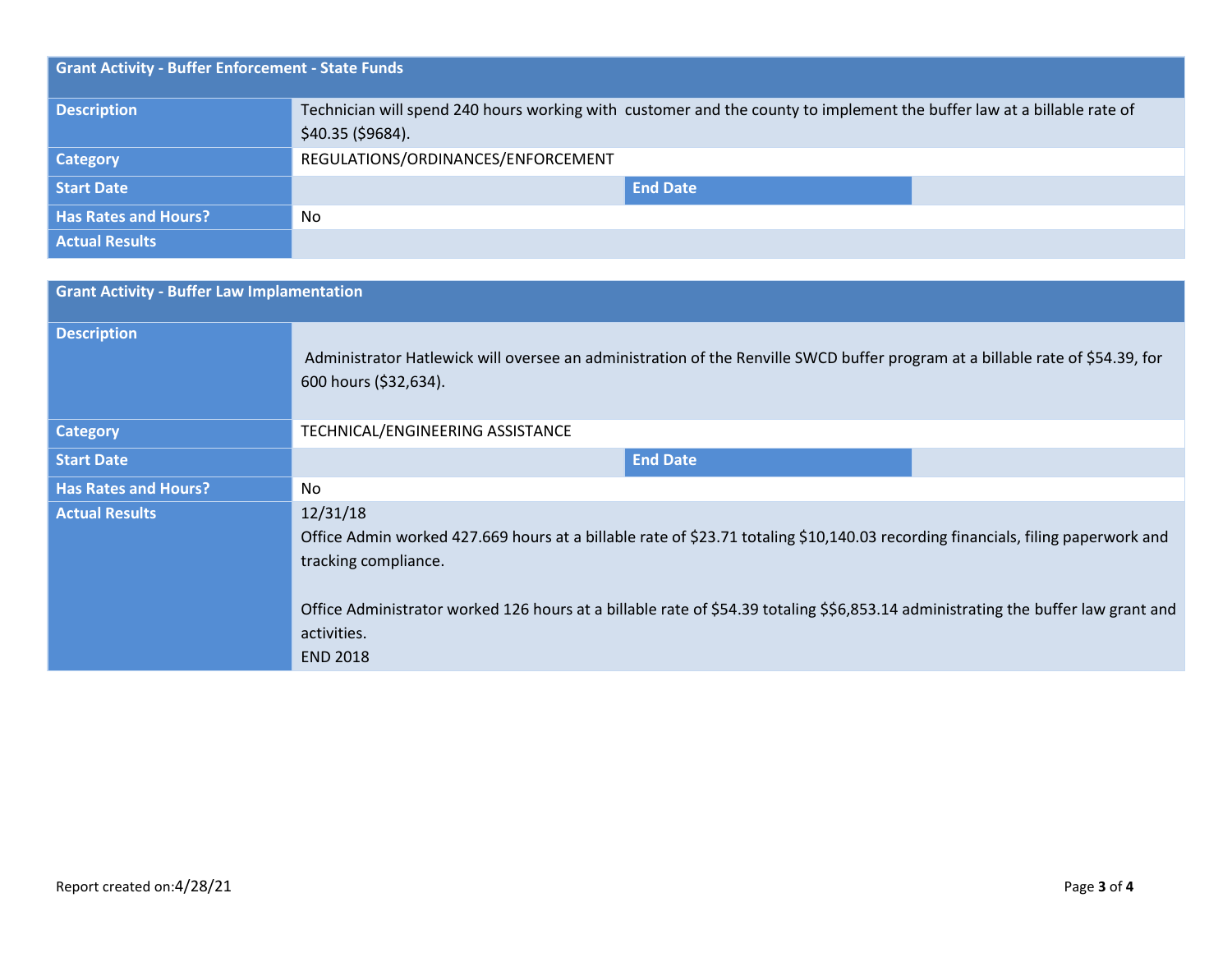| <b>Grant Activity - Buffer Enforcement - State Funds</b> |                                                                                                                                             |
|----------------------------------------------------------|---------------------------------------------------------------------------------------------------------------------------------------------|
| <b>Description</b>                                       | Technician will spend 240 hours working with customer and the county to implement the buffer law at a billable rate of<br>\$40.35 (\$9684). |
| <b>Category</b>                                          | REGULATIONS/ORDINANCES/ENFORCEMENT                                                                                                          |
| Start Date                                               | <b>End Date</b>                                                                                                                             |
| <b>Has Rates and Hours?</b>                              | No                                                                                                                                          |
| <b>Actual Results</b>                                    |                                                                                                                                             |

| <b>Grant Activity - Buffer Law Implamentation</b> |                                                                                                                                                                                                                                                                                                                                            |
|---------------------------------------------------|--------------------------------------------------------------------------------------------------------------------------------------------------------------------------------------------------------------------------------------------------------------------------------------------------------------------------------------------|
| <b>Description</b>                                | Administrator Hatlewick will oversee an administration of the Renville SWCD buffer program at a billable rate of \$54.39, for<br>600 hours (\$32,634).                                                                                                                                                                                     |
| <b>Category</b>                                   | TECHNICAL/ENGINEERING ASSISTANCE                                                                                                                                                                                                                                                                                                           |
| <b>Start Date</b>                                 | <b>End Date</b>                                                                                                                                                                                                                                                                                                                            |
| <b>Has Rates and Hours?</b>                       | No.                                                                                                                                                                                                                                                                                                                                        |
| <b>Actual Results</b>                             | 12/31/18<br>Office Admin worked 427.669 hours at a billable rate of \$23.71 totaling \$10,140.03 recording financials, filing paperwork and<br>tracking compliance.<br>Office Administrator worked 126 hours at a billable rate of \$54.39 totaling \$\$6,853.14 administrating the buffer law grant and<br>activities.<br><b>END 2018</b> |